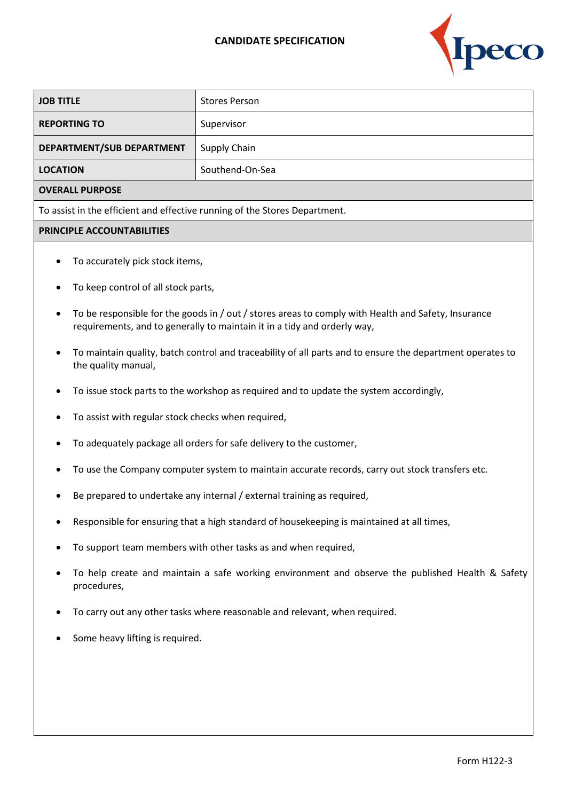## **CANDIDATE SPECIFICATION**



| <b>JOB TITLE</b>                                                           | <b>Stores Person</b> |  |
|----------------------------------------------------------------------------|----------------------|--|
| <b>REPORTING TO</b>                                                        | Supervisor           |  |
| DEPARTMENT/SUB DEPARTMENT                                                  | Supply Chain         |  |
| <b>LOCATION</b>                                                            | Southend-On-Sea      |  |
| <b>OVERALL PURPOSE</b>                                                     |                      |  |
| To assist in the efficient and effective running of the Stores Department. |                      |  |
| PRINCIPLE ACCOUNTABILITIES                                                 |                      |  |
| To accurately pick stock items,<br>$\bullet$                               |                      |  |

- To keep control of all stock parts,
- To be responsible for the goods in / out / stores areas to comply with Health and Safety, Insurance requirements, and to generally to maintain it in a tidy and orderly way,
- To maintain quality, batch control and traceability of all parts and to ensure the department operates to the quality manual,
- To issue stock parts to the workshop as required and to update the system accordingly,
- To assist with regular stock checks when required,
- To adequately package all orders for safe delivery to the customer,
- To use the Company computer system to maintain accurate records, carry out stock transfers etc.
- Be prepared to undertake any internal / external training as required,
- Responsible for ensuring that a high standard of housekeeping is maintained at all times,
- To support team members with other tasks as and when required,
- To help create and maintain a safe working environment and observe the published Health & Safety procedures,
- To carry out any other tasks where reasonable and relevant, when required.
- Some heavy lifting is required.